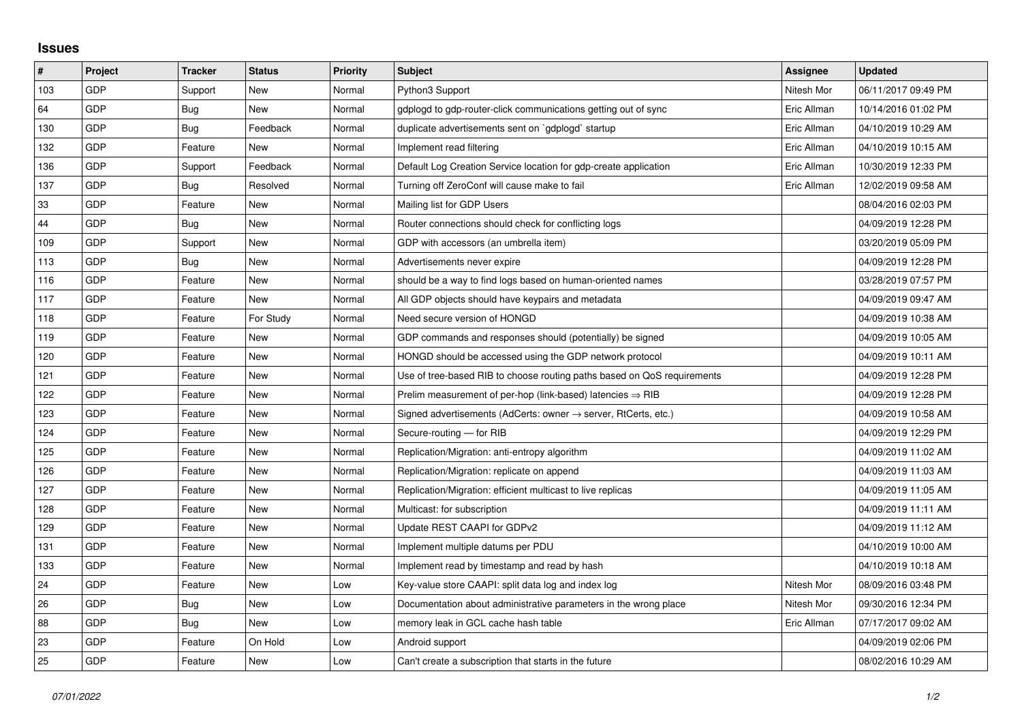## **Issues**

| #   | Project    | <b>Tracker</b> | <b>Status</b> | <b>Priority</b> | <b>Subject</b>                                                          | Assignee    | <b>Updated</b>      |
|-----|------------|----------------|---------------|-----------------|-------------------------------------------------------------------------|-------------|---------------------|
| 103 | GDP        | Support        | <b>New</b>    | Normal          | Python3 Support                                                         | Nitesh Mor  | 06/11/2017 09:49 PM |
| 64  | <b>GDP</b> | Bug            | <b>New</b>    | Normal          | gdplogd to gdp-router-click communications getting out of sync          | Eric Allman | 10/14/2016 01:02 PM |
| 130 | <b>GDP</b> | Bug            | Feedback      | Normal          | duplicate advertisements sent on `gdplogd` startup                      | Eric Allman | 04/10/2019 10:29 AM |
| 132 | <b>GDP</b> | Feature        | <b>New</b>    | Normal          | Implement read filtering                                                | Eric Allman | 04/10/2019 10:15 AM |
| 136 | <b>GDP</b> | Support        | Feedback      | Normal          | Default Log Creation Service location for gdp-create application        | Eric Allman | 10/30/2019 12:33 PM |
| 137 | <b>GDP</b> | Bug            | Resolved      | Normal          | Turning off ZeroConf will cause make to fail                            | Eric Allman | 12/02/2019 09:58 AM |
| 33  | <b>GDP</b> | Feature        | <b>New</b>    | Normal          | Mailing list for GDP Users                                              |             | 08/04/2016 02:03 PM |
| 44  | GDP        | Bug            | <b>New</b>    | Normal          | Router connections should check for conflicting logs                    |             | 04/09/2019 12:28 PM |
| 109 | <b>GDP</b> | Support        | New           | Normal          | GDP with accessors (an umbrella item)                                   |             | 03/20/2019 05:09 PM |
| 113 | GDP        | Bug            | <b>New</b>    | Normal          | Advertisements never expire                                             |             | 04/09/2019 12:28 PM |
| 116 | GDP        | Feature        | <b>New</b>    | Normal          | should be a way to find logs based on human-oriented names              |             | 03/28/2019 07:57 PM |
| 117 | <b>GDP</b> | Feature        | <b>New</b>    | Normal          | All GDP objects should have keypairs and metadata                       |             | 04/09/2019 09:47 AM |
| 118 | <b>GDP</b> | Feature        | For Study     | Normal          | Need secure version of HONGD                                            |             | 04/09/2019 10:38 AM |
| 119 | GDP        | Feature        | New           | Normal          | GDP commands and responses should (potentially) be signed               |             | 04/09/2019 10:05 AM |
| 120 | GDP        | Feature        | <b>New</b>    | Normal          | HONGD should be accessed using the GDP network protocol                 |             | 04/09/2019 10:11 AM |
| 121 | <b>GDP</b> | Feature        | <b>New</b>    | Normal          | Use of tree-based RIB to choose routing paths based on QoS requirements |             | 04/09/2019 12:28 PM |
| 122 | <b>GDP</b> | Feature        | <b>New</b>    | Normal          | Prelim measurement of per-hop (link-based) latencies $\Rightarrow$ RIB  |             | 04/09/2019 12:28 PM |
| 123 | GDP        | Feature        | <b>New</b>    | Normal          | Signed advertisements (AdCerts: owner → server, RtCerts, etc.)          |             | 04/09/2019 10:58 AM |
| 124 | <b>GDP</b> | Feature        | <b>New</b>    | Normal          | Secure-routing - for RIB                                                |             | 04/09/2019 12:29 PM |
| 125 | <b>GDP</b> | Feature        | <b>New</b>    | Normal          | Replication/Migration: anti-entropy algorithm                           |             | 04/09/2019 11:02 AM |
| 126 | GDP        | Feature        | <b>New</b>    | Normal          | Replication/Migration: replicate on append                              |             | 04/09/2019 11:03 AM |
| 127 | GDP        | Feature        | <b>New</b>    | Normal          | Replication/Migration: efficient multicast to live replicas             |             | 04/09/2019 11:05 AM |
| 128 | <b>GDP</b> | Feature        | <b>New</b>    | Normal          | Multicast: for subscription                                             |             | 04/09/2019 11:11 AM |
| 129 | GDP        | Feature        | <b>New</b>    | Normal          | Update REST CAAPI for GDPv2                                             |             | 04/09/2019 11:12 AM |
| 131 | <b>GDP</b> | Feature        | <b>New</b>    | Normal          | Implement multiple datums per PDU                                       |             | 04/10/2019 10:00 AM |
| 133 | <b>GDP</b> | Feature        | <b>New</b>    | Normal          | Implement read by timestamp and read by hash                            |             | 04/10/2019 10:18 AM |
| 24  | GDP        | Feature        | New           | Low             | Key-value store CAAPI: split data log and index log                     | Nitesh Mor  | 08/09/2016 03:48 PM |
| 26  | <b>GDP</b> | Bug            | <b>New</b>    | Low             | Documentation about administrative parameters in the wrong place        | Nitesh Mor  | 09/30/2016 12:34 PM |
| 88  | GDP        | Bug            | New           | Low             | memory leak in GCL cache hash table                                     | Eric Allman | 07/17/2017 09:02 AM |
| 23  | <b>GDP</b> | Feature        | On Hold       | Low             | Android support                                                         |             | 04/09/2019 02:06 PM |
| 25  | <b>GDP</b> | Feature        | <b>New</b>    | Low             | Can't create a subscription that starts in the future                   |             | 08/02/2016 10:29 AM |